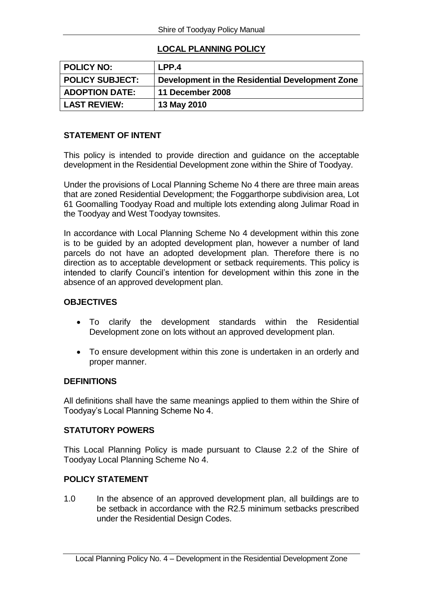## **LOCAL PLANNING POLICY**

| <b>POLICY NO:</b>      | LPP.4                                           |
|------------------------|-------------------------------------------------|
| <b>POLICY SUBJECT:</b> | Development in the Residential Development Zone |
| <b>ADOPTION DATE:</b>  | 11 December 2008                                |
| <b>LAST REVIEW:</b>    | 13 May 2010                                     |

## **STATEMENT OF INTENT**

This policy is intended to provide direction and guidance on the acceptable development in the Residential Development zone within the Shire of Toodyay.

Under the provisions of Local Planning Scheme No 4 there are three main areas that are zoned Residential Development; the Foggarthorpe subdivision area, Lot 61 Goomalling Toodyay Road and multiple lots extending along Julimar Road in the Toodyay and West Toodyay townsites.

In accordance with Local Planning Scheme No 4 development within this zone is to be guided by an adopted development plan, however a number of land parcels do not have an adopted development plan. Therefore there is no direction as to acceptable development or setback requirements. This policy is intended to clarify Council's intention for development within this zone in the absence of an approved development plan.

# **OBJECTIVES**

- To clarify the development standards within the Residential Development zone on lots without an approved development plan.
- To ensure development within this zone is undertaken in an orderly and proper manner.

### **DEFINITIONS**

All definitions shall have the same meanings applied to them within the Shire of Toodyay's Local Planning Scheme No 4.

### **STATUTORY POWERS**

This Local Planning Policy is made pursuant to Clause 2.2 of the Shire of Toodyay Local Planning Scheme No 4.

### **POLICY STATEMENT**

1.0 In the absence of an approved development plan, all buildings are to be setback in accordance with the R2.5 minimum setbacks prescribed under the Residential Design Codes.